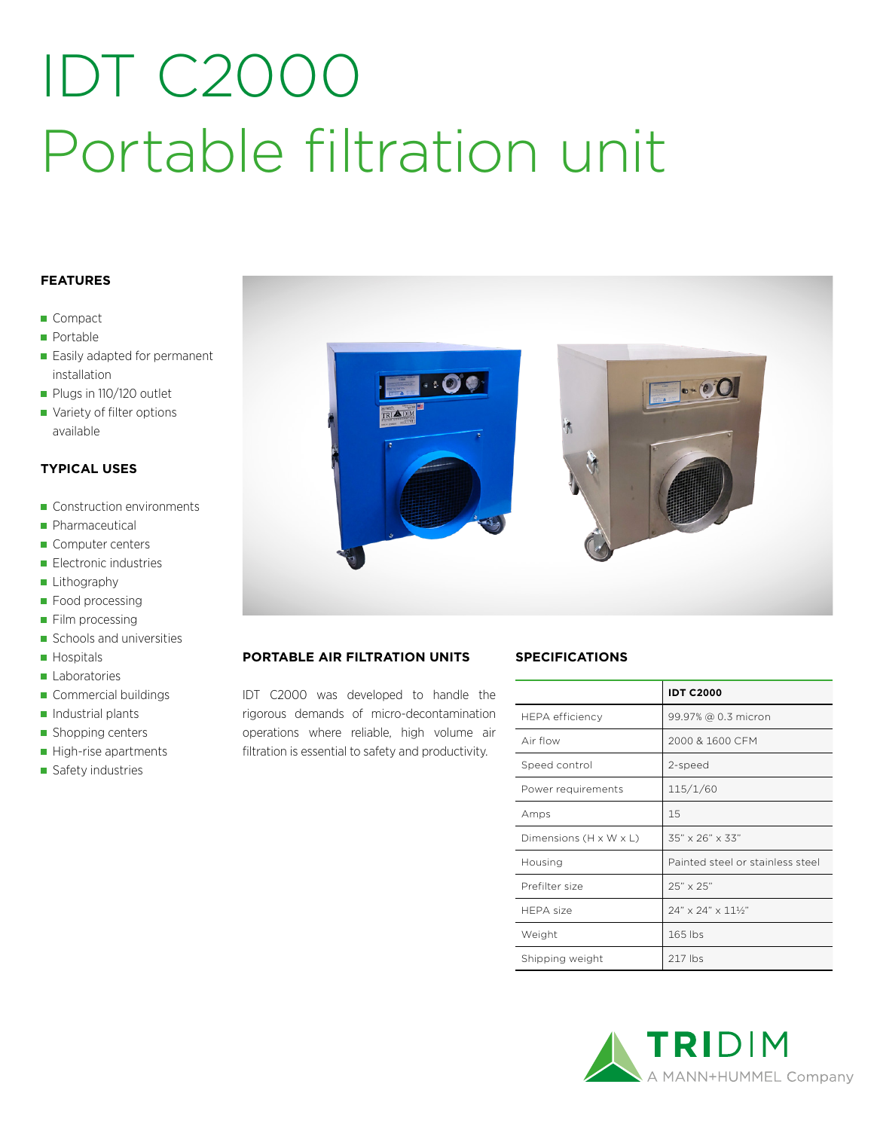## IDT C2000 Portable filtration unit

#### **FEATURES**

- Compact
- **Portable**
- Easily adapted for permanent installation
- Plugs in 110/120 outlet
- Variety of filter options available

#### **TYPICAL USES**

- Construction environments
- **Pharmaceutical**
- Computer centers
- **Electronic industries**
- **Lithography**
- **Food processing**
- Film processing
- Schools and universities
- **Hospitals**
- **Laboratories**
- Commercial buildings
- $\blacksquare$  Industrial plants
- Shopping centers
- High-rise apartments
- Safety industries



#### **PORTABLE AIR FILTRATION UNITS**

IDT C2000 was developed to handle the rigorous demands of micro-decontamination operations where reliable, high volume air filtration is essential to safety and productivity.

#### **SPECIFICATIONS**

|                        | <b>IDT C2000</b>                      |
|------------------------|---------------------------------------|
| <b>HEPA</b> efficiency | 99.97% @ 0.3 micron                   |
| Air flow               | 2000 & 1600 CFM                       |
| Speed control          | 2-speed                               |
| Power requirements     | 115/1/60                              |
| Amps                   | 15                                    |
| Dimensions (H x W x L) | $35" \times 26" \times 33"$           |
| Housing                | Painted steel or stainless steel      |
| Prefilter size         | 25" x 25"                             |
| HFPA size              | $24" \times 24" \times 11\frac{1}{2}$ |
| Weight                 | 165 lbs                               |
| Shipping weight        | 217 lbs                               |